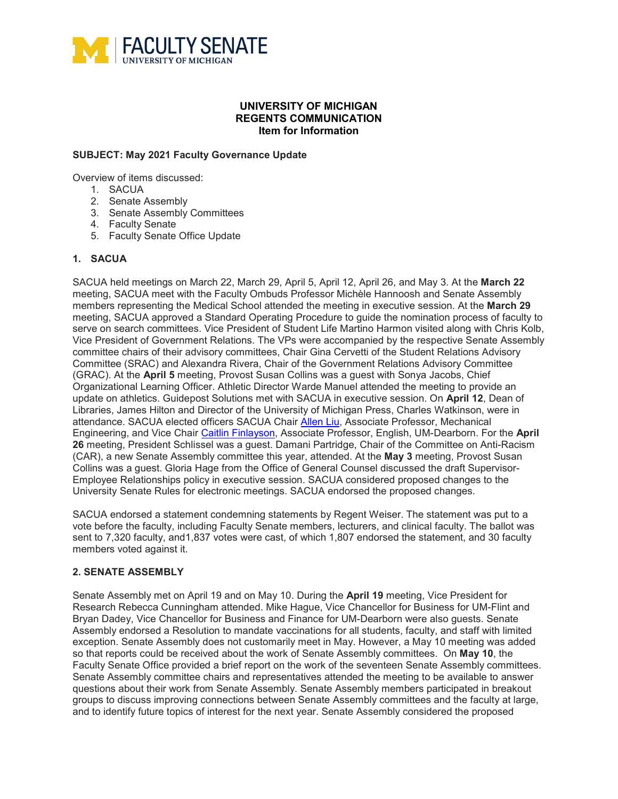

## **UNIVERSITY OF MICHIGAN REGENTS COMMUNICATION Item for Information**

## **SUBJECT: May 2021 Faculty Governance Update**

Overview of items discussed:

- 1. SACUA
- 2. Senate Assembly
- 3. Senate Assembly Committees
- 4. Faculty Senate
- 5. Faculty Senate Office Update

## **1. SACUA**

SACUA held meetings on March 22, March 29, April 5, April 12, April 26, and May 3. At the **March 22** meeting, SACUA meet with the Faculty Ombuds Professor Michèle Hannoosh and Senate Assembly members representing the Medical School attended the meeting in executive session. At the **March 29** meeting, SACUA approved a Standard Operating Procedure to guide the nomination process of faculty to serve on search committees. Vice President of Student Life Martino Harmon visited along with Chris Kolb, Vice President of Government Relations. The VPs were accompanied by the respective Senate Assembly committee chairs of their advisory committees, Chair Gina Cervetti of the Student Relations Advisory Committee (SRAC) and Alexandra Rivera, Chair of the Government Relations Advisory Committee (GRAC). At the **April 5** meeting, Provost Susan Collins was a guest with Sonya Jacobs, Chief Organizational Learning Officer. Athletic Director Warde Manuel attended the meeting to provide an update on athletics. Guidepost Solutions met with SACUA in executive session. On **April 12**, Dean of Libraries, James Hilton and Director of the University of Michigan Press, Charles Watkinson, were in attendance. SACUA elected officers SACUA Chair [Allen Liu,](https://me.engin.umich.edu/people/faculty/allen-liu) Associate Professor, Mechanical Engineering, and Vice Chair [Caitlin Finlayson,](https://umdearborn.edu/users/cfinlay) Associate Professor, English, UM-Dearborn. For the **April 26** meeting, President Schlissel was a guest. Damani Partridge, Chair of the Committee on Anti-Racism (CAR), a new Senate Assembly committee this year, attended. At the **May 3** meeting, Provost Susan Collins was a guest. Gloria Hage from the Office of General Counsel discussed the draft Supervisor-Employee Relationships policy in executive session. SACUA considered proposed changes to the University Senate Rules for electronic meetings. SACUA endorsed the proposed changes.

SACUA endorsed a statement condemning statements by Regent Weiser. The statement was put to a vote before the faculty, including Faculty Senate members, lecturers, and clinical faculty. The ballot was sent to 7,320 faculty, and 1,837 votes were cast, of which 1,807 endorsed the statement, and 30 faculty members voted against it.

### **2. SENATE ASSEMBLY**

Senate Assembly met on April 19 and on May 10. During the **April 19** meeting, Vice President for Research Rebecca Cunningham attended. Mike Hague, Vice Chancellor for Business for UM-Flint and Bryan Dadey, Vice Chancellor for Business and Finance for UM-Dearborn were also guests. Senate Assembly endorsed a Resolution to mandate vaccinations for all students, faculty, and staff with limited exception. Senate Assembly does not customarily meet in May. However, a May 10 meeting was added so that reports could be received about the work of Senate Assembly committees. On **May 10**, the Faculty Senate Office provided a brief report on the work of the seventeen Senate Assembly committees. Senate Assembly committee chairs and representatives attended the meeting to be available to answer questions about their work from Senate Assembly. Senate Assembly members participated in breakout groups to discuss improving connections between Senate Assembly committees and the faculty at large, and to identify future topics of interest for the next year. Senate Assembly considered the proposed